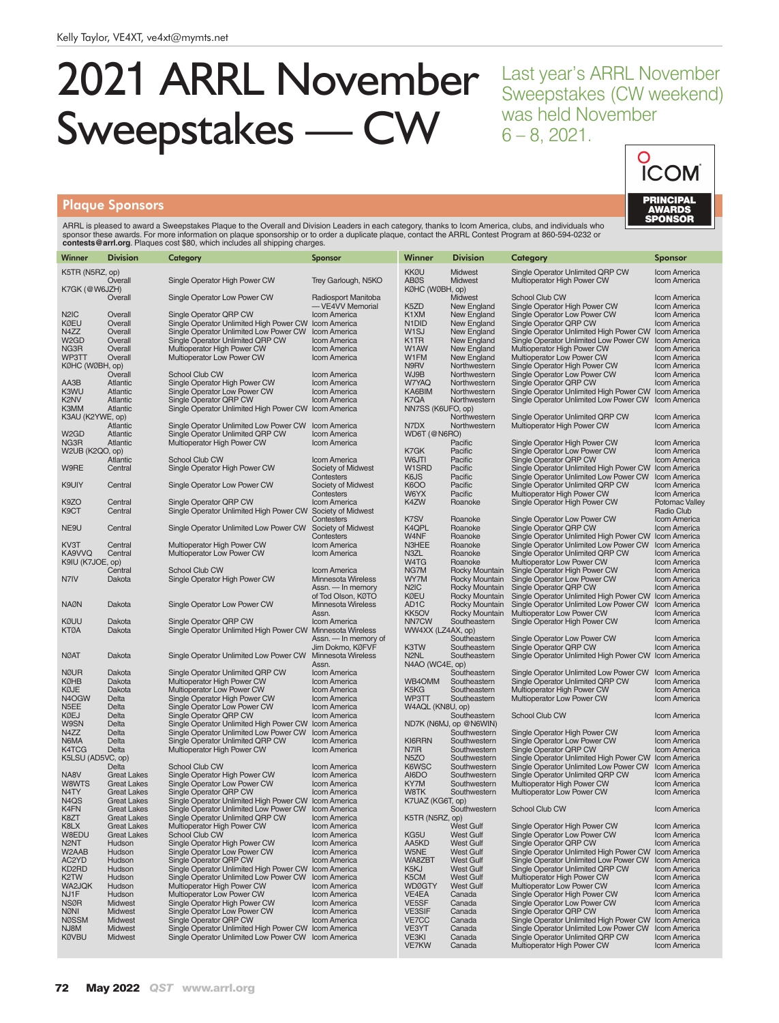## 2021 ARRL November Sweepstakes — CW

Last year's ARRL November Sweepstakes (CW weekend) was held November  $6 - 8$ , 2021.

## Plaque Sponsors



ARRL is pleased to award a Sweepstakes Plaque to the Overall and Division Leaders in each category, thanks to Icom America, clubs, and individuals who<br>sponsor these awards. For more information on plaque sponsorship or to

| Winner                        | <b>Division</b>             | Category                                                                                                    | Sponsor                      | Winner                               | <b>Division</b>               | Category                                                                          | Sponsor                      |
|-------------------------------|-----------------------------|-------------------------------------------------------------------------------------------------------------|------------------------------|--------------------------------------|-------------------------------|-----------------------------------------------------------------------------------|------------------------------|
| K5TR (N5RZ, op)               |                             |                                                                                                             |                              | <b>KKØU</b>                          | <b>Midwest</b>                | Single Operator Unlimited QRP CW                                                  | Icom America                 |
|                               | Overall                     | Single Operator High Power CW                                                                               | Trey Garlough, N5KO          | <b>ABØS</b>                          | Midwest                       | Multioperator High Power CW                                                       | Icom America                 |
| K7GK (@W6JZH)                 |                             |                                                                                                             |                              | KØHC (WØBH, op)                      |                               |                                                                                   |                              |
|                               | Overall                     | Single Operator Low Power CW                                                                                | Radiosport Manitoba          |                                      | Midwest                       | School Club CW                                                                    | Icom America                 |
|                               |                             |                                                                                                             | - VE4VV Memorial             | K5ZD                                 | New England                   | Single Operator High Power CW                                                     | Icom America                 |
| N <sub>2</sub> I <sub>C</sub> | Overall                     | Single Operator QRP CW                                                                                      | Icom America                 | K1XM                                 | New England                   | Single Operator Low Power CW                                                      | Icom America                 |
| <b>KØEU</b><br>N4ZZ           | Overall<br>Overall          | Single Operator Unlimited High Power CW Icom America                                                        |                              | N1DID<br>W <sub>1</sub> SJ           | New England                   | Single Operator QRP CW<br>Single Operator Unlimited High Power CW                 | Icom America<br>Icom America |
| W <sub>2</sub> GD             | Overall                     | Single Operator Unlimited Low Power CW Icom America<br>Single Operator Unlimited QRP CW                     | Icom America                 | K <sub>1</sub> TR                    | New England<br>New England    | Single Operator Unlimited Low Power CW                                            | Icom America                 |
| NG3R                          | Overall                     | Multioperator High Power CW                                                                                 | Icom America                 | W1AW                                 | New England                   | Multioperator High Power CW                                                       | Icom America                 |
| WP3TT                         | Overall                     | Multioperator Low Power CW                                                                                  | Icom America                 | W1FM                                 | New England                   | Multioperator Low Power CW                                                        | Icom America                 |
| KØHC (WØBH, op)               |                             |                                                                                                             |                              | N9RV                                 | Northwestern                  | Single Operator High Power CW                                                     | Icom America                 |
|                               | Overall                     | School Club CW                                                                                              | Icom America                 | WJ9B                                 | Northwestern                  | Single Operator Low Power CW                                                      | Icom America                 |
| AA3B                          | <b>Atlantic</b>             | Single Operator High Power CW                                                                               | Icom America                 | W7YAQ                                | Northwestern                  | Single Operator QRP CW                                                            | Icom America                 |
| K3WU                          | <b>Atlantic</b>             | Single Operator Low Power CW                                                                                | Icom America                 | KA6BIM                               | Northwestern                  | Single Operator Unlimited High Power CW                                           | Icom America                 |
| K <sub>2NV</sub>              | Atlantic                    | Single Operator QRP CW                                                                                      | Icom America                 | K7QA                                 | Northwestern                  | Single Operator Unlimited Low Power CW                                            | Icom America                 |
| K3MM                          | Atlantic                    | Single Operator Unlimited High Power CW Icom America                                                        |                              | NN7SS (K6UFO, op)                    |                               |                                                                                   |                              |
| K3AU (K2YWE, op)              |                             |                                                                                                             |                              |                                      | Northwestern                  | Single Operator Unlimited QRP CW                                                  | Icom America                 |
|                               | Atlantic                    | Single Operator Unlimited Low Power CW Icom America                                                         |                              | N7DX                                 | Northwestern                  | Multioperator High Power CW                                                       | Icom America                 |
| W <sub>2</sub> GD<br>NG3R     | Atlantic<br><b>Atlantic</b> | Single Operator Unlimited QRP CW<br>Multioperator High Power CW                                             | Icom America<br>Icom America | WD6T (@N6RO)                         | Pacific                       | Single Operator High Power CW                                                     | Icom America                 |
| W2UB (K2QO, op)               |                             |                                                                                                             |                              | K7GK                                 | Pacific                       | Single Operator Low Power CW                                                      | Icom America                 |
|                               | Atlantic                    | <b>School Club CW</b>                                                                                       | Icom America                 | W6JTI                                | Pacific                       | Single Operator QRP CW                                                            | Icom America                 |
| W9RE                          | Central                     | Single Operator High Power CW                                                                               | Society of Midwest           | W1SRD                                | Pacific                       | Single Operator Unlimited High Power CW                                           | <b>Icom America</b>          |
|                               |                             |                                                                                                             | Contesters                   | K6JS                                 | Pacific                       | Single Operator Unlimited Low Power CW                                            | Icom America                 |
| K9UIY                         | Central                     | Single Operator Low Power CW                                                                                | Society of Midwest           | <b>K6OO</b>                          | Pacific                       | Single Operator Unlimited QRP CW                                                  | Icom America                 |
|                               |                             |                                                                                                             | Contesters                   | W6YX                                 | Pacific                       | Multioperator High Power CW                                                       | Icom America                 |
| K9ZO                          | Central                     | Single Operator QRP CW                                                                                      | Icom America                 | K4ZW                                 | Roanoke                       | Single Operator High Power CW                                                     | Potomac Valley               |
| K9CT                          | Central                     | Single Operator Unlimited High Power CW Society of Midwest                                                  |                              |                                      |                               |                                                                                   | Radio Club                   |
|                               |                             |                                                                                                             | Contesters                   | K7SV                                 | Roanoke                       | Single Operator Low Power CW                                                      | Icom America                 |
| NE9U                          | Central                     | Single Operator Unlimited Low Power CW                                                                      | Society of Midwest           | K4QPL                                | Roanoke                       | Single Operator QRP CW                                                            | Icom America                 |
|                               |                             |                                                                                                             | Contesters                   | W4NF                                 | Roanoke                       | Single Operator Unlimited High Power CW                                           | Icom America                 |
| KV3T<br>KA9VVQ                | Central<br>Central          | Multioperator High Power CW                                                                                 | Icom America<br>Icom America | N3HEE<br>N3ZL                        | Roanoke<br>Roanoke            | Single Operator Unlimited Low Power CW                                            | Icom America<br>Icom America |
| K9IU (K7JOE, op)              |                             | Multioperator Low Power CW                                                                                  |                              | W4TG                                 | Roanoke                       | Single Operator Unlimited QRP CW<br>Multioperator Low Power CW                    | Icom America                 |
|                               | Central                     | School Club CW                                                                                              | Icom America                 | NG7M                                 | Rocky Mountain                | Single Operator High Power CW                                                     | Icom America                 |
| N7IV                          | Dakota                      | Single Operator High Power CW                                                                               | Minnesota Wireless           | WY7M                                 | Rocky Mountain                | Single Operator Low Power CW                                                      | Icom America                 |
|                               |                             |                                                                                                             | Assn. - In memory            | N <sub>2</sub> I <sub>C</sub>        | Rocky Mountain                | Single Operator QRP CW                                                            | Icom America                 |
|                               |                             |                                                                                                             | of Tod Olson, KØTO           | <b>KØEU</b>                          | Rocky Mountain                | Single Operator Unlimited High Power CW                                           | Icom America                 |
| <b>NAØN</b>                   | Dakota                      | Single Operator Low Power CW                                                                                | Minnesota Wireless           | AD <sub>1</sub> C                    | Rocky Mountain                | Single Operator Unlimited Low Power CW                                            | Icom America                 |
|                               |                             |                                                                                                             | Assn.                        | KK5OV                                | Rocky Mountain                | Multioperator Low Power CW                                                        | Icom America                 |
| <b>KØUU</b>                   | Dakota                      | Single Operator QRP CW                                                                                      | Icom America                 | NN7CW                                | Southeastern                  | Single Operator High Power CW                                                     | Icom America                 |
| <b>KTØA</b>                   | Dakota                      | Single Operator Unlimited High Power CW Minnesota Wireless                                                  |                              | WW4XX (LZ4AX, op)                    |                               |                                                                                   |                              |
|                               |                             |                                                                                                             | Assn. - In memory of         |                                      | Southeastern                  | Single Operator Low Power CW                                                      | Icom America                 |
|                               |                             |                                                                                                             | Jim Dokmo, KØFVF             | K3TW                                 | Southeastern                  | Single Operator QRP CW                                                            | Icom America                 |
| <b>NØAT</b>                   | Dakota                      | Single Operator Unlimited Low Power CW Minnesota Wireless                                                   | Assn.                        | N <sub>2</sub> NL<br>N4AO (WC4E, op) | Southeastern                  | Single Operator Unlimited High Power CW                                           | Icom America                 |
| <b>NØUR</b>                   | Dakota                      | Single Operator Unlimited QRP CW                                                                            | Icom America                 |                                      | Southeastern                  | Single Operator Unlimited Low Power CW                                            | Icom America                 |
| <b>KØHB</b>                   | Dakota                      | Multioperator High Power CW                                                                                 | Icom America                 | WB4OMM                               | Southeastern                  | Single Operator Unlimited QRP CW                                                  | Icom America                 |
| <b>KØJE</b>                   | Dakota                      | Multioperator Low Power CW                                                                                  | Icom America                 | K5KG                                 | Southeastern                  | Multioperator High Power CW                                                       | <b>Icom America</b>          |
| N4OGW                         | Delta                       | Single Operator High Power CW                                                                               | Icom America                 | WP3TT                                | Southeastern                  | Multioperator Low Power CW                                                        | Icom America                 |
| N5EE                          | Delta                       | Single Operator Low Power CW                                                                                | Icom America                 | W4AQL (KN8U, op)                     |                               |                                                                                   |                              |
| <b>KØEJ</b>                   | <b>Delta</b>                | Single Operator QRP CW                                                                                      | Icom America                 |                                      | Southeastern                  | School Club CW                                                                    | Icom America                 |
| W9SN                          | Delta                       | Single Operator Unlimited High Power CW Icom America                                                        |                              |                                      | ND7K (N6MJ, op @N6WIN)        |                                                                                   |                              |
| N4ZZ                          | Delta                       | Single Operator Unlimited Low Power CW                                                                      | Icom America                 |                                      | Southwestern                  | Single Operator High Power CW                                                     | Icom America                 |
| N6MA                          | Delta                       | Single Operator Unlimited QRP CW                                                                            | <b>Icom America</b>          | KI6RRN                               | Southwestern                  | Single Operator Low Power CW                                                      | Icom America                 |
| K4TCG                         | Delta                       | Multioperator High Power CW                                                                                 | Icom America                 | N7IR                                 | Southwestern                  | Single Operator QRP CW                                                            | Icom America                 |
| K5LSU (AD5VC, op)             | Delta                       | School Club CW                                                                                              | Icom America                 | N <sub>5</sub> ZO<br>K6WSC           | Southwestern<br>Southwestern  | Single Operator Unlimited High Power CW<br>Single Operator Unlimited Low Power CW | Icom America<br>Icom America |
| NA8V                          | <b>Great Lakes</b>          | Single Operator High Power CW                                                                               | Icom America                 | AI6DO                                | Southwestern                  | Single Operator Unlimited QRP CW                                                  | Icom America                 |
| W8WTS                         | <b>Great Lakes</b>          | Single Operator Low Power CW                                                                                | Icom America                 | KY7M                                 | Southwestern                  | Multioperator High Power CW                                                       | Icom America                 |
| N <sub>4</sub> TY             | <b>Great Lakes</b>          | Single Operator QRP CW                                                                                      | Icom America                 | W8TK                                 | Southwestern                  | Multioperator Low Power CW                                                        | Icom America                 |
| N <sub>4</sub> Q <sub>S</sub> | <b>Great Lakes</b>          | Single Operator Unlimited High Power CW Icom America                                                        |                              | K7UAZ (KG6T, op)                     |                               |                                                                                   |                              |
| K4FN                          | <b>Great Lakes</b>          | Single Operator Unlimited Low Power CW                                                                      | <b>Icom America</b>          |                                      | Southwestern                  | School Club CW                                                                    | Icom America                 |
| K8ZT                          | <b>Great Lakes</b>          | Single Operator Unlimited QRP CW                                                                            | Icom America                 | K5TR (N5RZ, op)                      |                               |                                                                                   |                              |
| K8LX                          | <b>Great Lakes</b>          | Multioperator High Power CW                                                                                 | Icom America                 |                                      | West Gulf                     | Single Operator High Power CW                                                     | <b>Icom America</b>          |
| W8EDU                         | <b>Great Lakes</b>          | School Club CW                                                                                              | Icom America                 | KG5U                                 | <b>West Gulf</b>              | Single Operator Low Power CW                                                      | Icom America                 |
| N <sub>2N</sub> T             | Hudson                      | Single Operator High Power CW                                                                               | Icom America                 | AA5KD                                | <b>West Gulf</b>              | Single Operator QRP CW                                                            | Icom America                 |
| W2AAB                         | Hudson                      | Single Operator Low Power CW                                                                                | Icom America                 | W5NE                                 | <b>West Gulf</b>              | Single Operator Unlimited High Power CW                                           | Icom America                 |
| AC2YD<br>KD <sub>2</sub> RD   | Hudson<br>Hudson            | Single Operator QRP CW                                                                                      | Icom America                 | WA8ZBT<br>K5KJ                       | West Gulf<br><b>West Gulf</b> | Single Operator Unlimited Low Power CW<br>Single Operator Unlimited QRP CW        | Icom America<br>Icom America |
| K <sub>2</sub> TW             | Hudson                      | Single Operator Unlimited High Power CW Icom America<br>Single Operator Unlimited Low Power CW Icom America |                              | K5CM                                 | <b>West Gulf</b>              | Multioperator High Power CW                                                       | Icom America                 |
| WA2JQK                        | Hudson                      | Multioperator High Power CW                                                                                 | Icom America                 | <b>WDØGTY</b>                        | <b>West Gulf</b>              | Multioperator Low Power CW                                                        | Icom America                 |
| NJ1F                          | Hudson                      | Multioperator Low Power CW                                                                                  | Icom America                 | VE4EA                                | Canada                        | Single Operator High Power CW                                                     | Icom America                 |
| <b>NSØR</b>                   | Midwest                     | Single Operator High Power CW                                                                               | Icom America                 | VE5SF                                | Canada                        | Single Operator Low Power CW                                                      | Icom America                 |
| <b>NØNI</b>                   | Midwest                     | Single Operator Low Power CW                                                                                | Icom America                 | <b>VE3SIF</b>                        | Canada                        | Single Operator QRP CW                                                            | Icom America                 |
| <b>NØSSM</b>                  | Midwest                     | Single Operator QRP CW                                                                                      | Icom America                 | VE7CC                                | Canada                        | Single Operator Unlimited High Power CW                                           | Icom America                 |
| NJ8M                          | Midwest                     | Single Operator Unlimited High Power CW Icom America                                                        |                              | VE3YT                                | Canada                        | Single Operator Unlimited Low Power CW                                            | Icom America                 |
| <b>KØVBU</b>                  | Midwest                     | Single Operator Unlimited Low Power CW Icom America                                                         |                              | VE3KI                                | Canada                        | Single Operator Unlimited QRP CW                                                  | Icom America                 |
|                               |                             |                                                                                                             |                              | VE7KW                                | Canada                        | Multioperator High Power CW                                                       | Icom America                 |